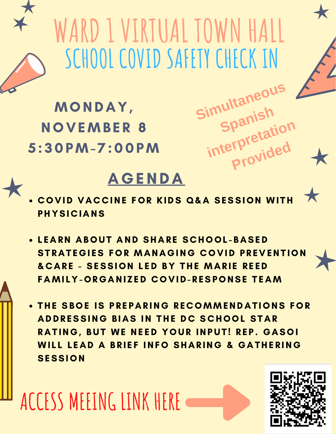## **WARD1 VIRTUAL TOWN HALL SCHOOL COVID SAFETY CHECK IN**

Simultaneou

**Spanish**

**interpretation** 

**Provided**

MONDAY, NOVEMBER 8 5:30PM-7:00PM

## **AGENDA**

- COVID VACCINE FOR KIDS Q&A SESSION WITH **PHYSICIANS**
- LEARN ABOUT AND SHARE SCHOOL-BASED STRATEGIES FOR MANAGING COVID PREVENTION & CARE - SESSION LED BY THE MARIE REED FAMILY-ORGANIZED COVID-RESPONSE TEAM
- **. THE SBOE IS PREPARING RECOMMENDATIONS FOR** ADDRESSING BIAS IN THE DC SCHOOL STAR RATING, BUT WE NEED YOUR INPUT! REP. GASOI WILL LEAD A BRIEF INFO SHARING & GATHERING **SESSION**

**ACCESS MEEINGLINK HERE**